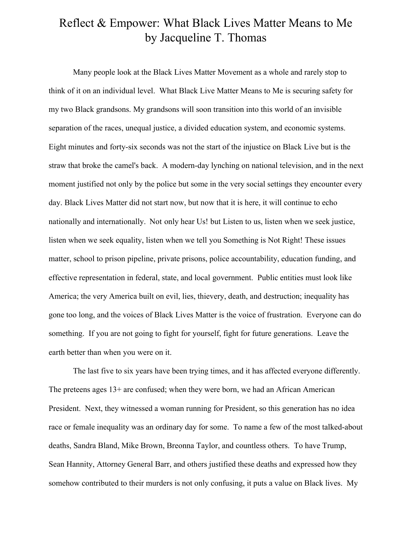## Reflect & Empower: What Black Lives Matter Means to Me by Jacqueline T. Thomas

Many people look at the Black Lives Matter Movement as a whole and rarely stop to think of it on an individual level. What Black Live Matter Means to Me is securing safety for my two Black grandsons. My grandsons will soon transition into this world of an invisible separation of the races, unequal justice, a divided education system, and economic systems. Eight minutes and forty-six seconds was not the start of the injustice on Black Live but is the straw that broke the camel's back. A modern-day lynching on national television, and in the next moment justified not only by the police but some in the very social settings they encounter every day. Black Lives Matter did not start now, but now that it is here, it will continue to echo nationally and internationally. Not only hear Us! but Listen to us, listen when we seek justice, listen when we seek equality, listen when we tell you Something is Not Right! These issues matter, school to prison pipeline, private prisons, police accountability, education funding, and effective representation in federal, state, and local government. Public entities must look like America; the very America built on evil, lies, thievery, death, and destruction; inequality has gone too long, and the voices of Black Lives Matter is the voice of frustration. Everyone can do something. If you are not going to fight for yourself, fight for future generations. Leave the earth better than when you were on it.

The last five to six years have been trying times, and it has affected everyone differently. The preteens ages 13+ are confused; when they were born, we had an African American President. Next, they witnessed a woman running for President, so this generation has no idea race or female inequality was an ordinary day for some. To name a few of the most talked-about deaths, Sandra Bland, Mike Brown, Breonna Taylor, and countless others. To have Trump, Sean Hannity, Attorney General Barr, and others justified these deaths and expressed how they somehow contributed to their murders is not only confusing, it puts a value on Black lives. My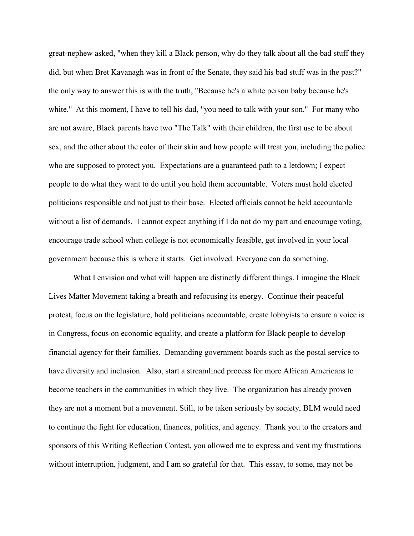great-nephew asked, "when they kill a Black person, why do they talk about all the bad stuff they did, but when Bret Kavanagh was in front of the Senate, they said his bad stuff was in the past?" the only way to answer this is with the truth, "Because he's a white person baby because he's white." At this moment, I have to tell his dad, "you need to talk with your son." For many who are not aware, Black parents have two "The Talk" with their children, the first use to be about sex, and the other about the color of their skin and how people will treat you, including the police who are supposed to protect you. Expectations are a guaranteed path to a letdown; I expect people to do what they want to do until you hold them accountable. Voters must hold elected politicians responsible and not just to their base. Elected officials cannot be held accountable without a list of demands. I cannot expect anything if I do not do my part and encourage voting, encourage trade school when college is not economically feasible, get involved in your local government because this is where it starts. Get involved. Everyone can do something.

What I envision and what will happen are distinctly different things. I imagine the Black Lives Matter Movement taking a breath and refocusing its energy. Continue their peaceful protest, focus on the legislature, hold politicians accountable, create lobbyists to ensure a voice is in Congress, focus on economic equality, and create a platform for Black people to develop financial agency for their families. Demanding government boards such as the postal service to have diversity and inclusion. Also, start a streamlined process for more African Americans to become teachers in the communities in which they live. The organization has already proven they are not a moment but a movement. Still, to be taken seriously by society, BLM would need to continue the fight for education, finances, politics, and agency. Thank you to the creators and sponsors of this Writing Reflection Contest, you allowed me to express and vent my frustrations without interruption, judgment, and I am so grateful for that. This essay, to some, may not be